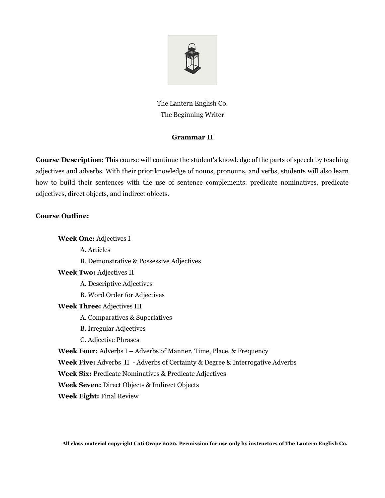

The Lantern English Co. The Beginning Writer

## **Grammar II**

**Course Description:** This course will continue the student's knowledge of the parts of speech by teaching adjectives and adverbs. With their prior knowledge of nouns, pronouns, and verbs, students will also learn how to build their sentences with the use of sentence complements: predicate nominatives, predicate adjectives, direct objects, and indirect objects.

## **Course Outline:**

**Week One:** Adjectives I A. Articles B. Demonstrative & Possessive Adjectives **Week Two:** Adjectives II A. Descriptive Adjectives B. Word Order for Adjectives **Week Three:** Adjectives III A. Comparatives & Superlatives B. Irregular Adjectives C. Adjective Phrases **Week Four:** Adverbs I – Adverbs of Manner, Time, Place, & Frequency **Week Five:** Adverbs II - Adverbs of Certainty & Degree & Interrogative Adverbs **Week Six:** Predicate Nominatives & Predicate Adjectives **Week Seven:** Direct Objects & Indirect Objects **Week Eight:** Final Review